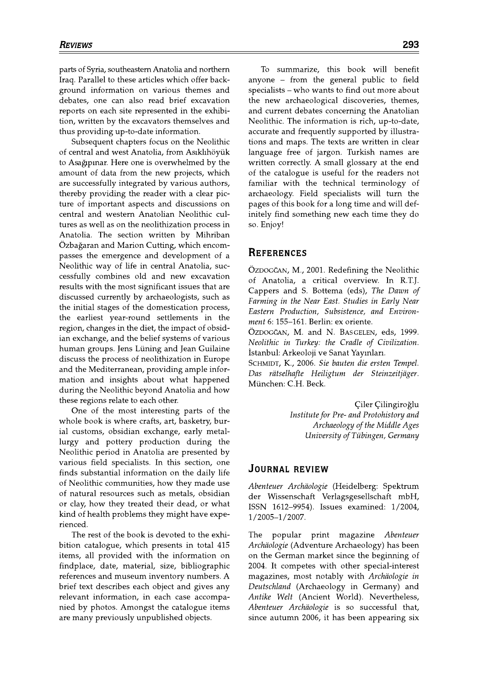parts of Syria, southeastern Anatolia and northern Iraq. Parallel to these articles which offer background information on various themes and debates, one can also read brief excavation reports on each site represented in the exhibition, written by the excavators themselves and thus providing up-to-date information.

Subsequent chapters focus on the Neolithic of central and west Anatolia, from Asıklıhöyük to Asağıpınar. Here one is overwhelmed by the amount of data from the new projects, which are successfully integrated by various authors, thereby providing the reader with a clear picture of important aspects and discussions on central and western Anatolian Neolithic cultures as well as on the neolithization process in Anatolia. The section written by Mihriban Özbağaran and Marion Cutting, which encompasses the emergence and development of a Neolithic way of life in central Anatolia, successfully combines old and new excavation results with the most significant issues that are discussed currently by archaeologists, such as the initial stages of the domestication process, the earliest year-round settlements in the region, changes in the diet, the impact of obsidian exchange, and the belief systems of various human groups. Jens Lüning and Jean Guilaine discuss the process of neolithization in Europe and the Mediterranean, providing ample information and insights about what happened during the Neolithic beyond Anatolia and how these regions relate to each other.

One of the most interesting parts of the whole book is where crafts, art, basketry, burial customs, obsidian exchange, early metallurgy and pottery production during the Neolithic period in Anatolia are presented by various field specialists. In this section, one finds substantial information on the daily life of Neolithic communities, how they made use of natural resources such as metals, obsidian or clay, how they treated their dead, or what kind of health problems they might have experienced.

The rest of the book is devoted to the exhibition catalogue, which presents in total 415 items, all provided with the information on findplace, date, material, size, bibliographic references and museum inventory numbers. A brief text describes each object and gives any relevant information, in each case accompanied by photos. Amongst the catalogue items are many previously unpublished objects.

To summarize, this book will benefit anyone - from the general public to field specialists - who wants to find out more about the new archaeological discoveries, themes, and current debates concerning the Anatolian Neolithic. The information is rich, up-to-date, accurate and frequently supported by illustrations and maps. The texts are written in clear language free of jargon. Turkish names are written correctly. A small glossary at the end of the catalogue is useful for the readers not familiar with the technical terminology of archaeology. Field specialists will turn the pages of this book for a long time and will definitely find something new each time they do so. Enjoy!

## **REFERENCES**

ÖZDOGĞAN, M., 2001. Redefining the Neolithic of Anatolia, a critical overview. In R.T.J. Cappers and S. Bottema (eds), The Dawn of Farming in the Near East. Studies in Early Near Eastern Production, Subsistence, and Environment 6: 155-161. Berlin: ex oriente.

ÖZDOGĞAN, M. and N. BASGELEN, eds, 1999. Neolithic in Turkey: the Cradle of Civilization. İstanbul: Arkeoloji ve Sanat Yayınları.

SCHMIDT, K., 2006. Sie bauten die ersten Tempel. Das rätselhafte Heiligtum der Steinzeitjäger. München: C.H. Beck.

> Çiler Çilingiroğlu Institute for Pre- and Protohistory and Archaeology of the Middle Ages University of Tübingen, Germany

## **JOURNAL REVIEW**

Abenteuer Archäologie (Heidelberg: Spektrum der Wissenschaft Verlagsgesellschaft mbH, ISSN 1612-9954). Issues examined: 1/2004,  $1/2005 - 1/2007$ .

popular print magazine Abenteuer The Archäologie (Adventure Archaeology) has been on the German market since the beginning of 2004. It competes with other special-interest magazines, most notably with Archäologie in Deutschland (Archaeology in Germany) and Antike Welt (Ancient World). Nevertheless, Abenteuer Archäologie is so successful that, since autumn 2006, it has been appearing six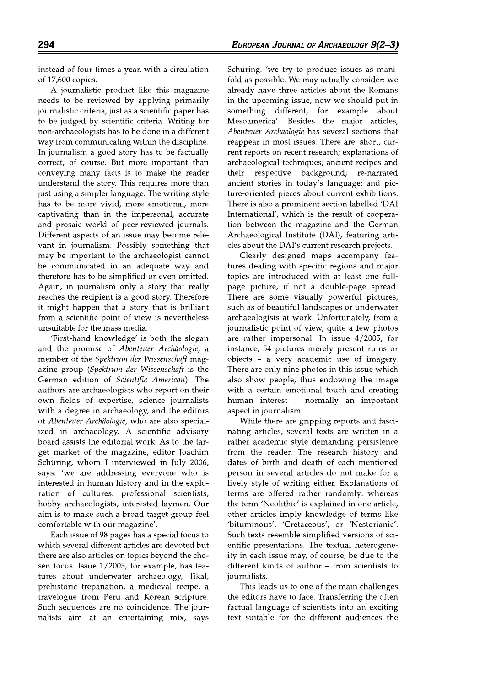instead of four times a year, with a circulation of 17,600 copies.

A journalistic product like this magazine needs to be reviewed by applying primarily journalistic criteria, just as a scientific paper has to be judged by scientific criteria. Writing for non-archaeologists has to be done in a different way from communicating within the discipline. In journalism a good story has to be factually correct, of course. But more important than conveying many facts is to make the reader understand the story. This requires more than just using a simpler language. The writing style has to be more vivid, more emotional, more captivating than in the impersonal, accurate and prosaic world of peer-reviewed journals. Different aspects of an issue may become relevant in journalism. Possibly something that may be important to the archaeologist cannot be communicated in an adequate way and therefore has to be simplified or even omitted. Again, in journalism only a story that really reaches the recipient is a good story. Therefore it might happen that a story that is brilliant from a scientific point of view is nevertheless unsuitable for the mass media.

'First-hand knowledge' is both the slogan and the promise of Abenteuer Archäologie, a member of the Spektrum der Wissenschaft magazine group (Spektrum der Wissenschaft is the German edition of Scientific American). The authors are archaeologists who report on their own fields of expertise, science journalists with a degree in archaeology, and the editors of Abenteuer Archäologie, who are also specialized in archaeology. A scientific advisory board assists the editorial work. As to the target market of the magazine, editor Joachim Schüring, whom I interviewed in July 2006, says: 'we are addressing everyone who is interested in human history and in the exploration of cultures: professional scientists, hobby archaeologists, interested laymen. Our aim is to make such a broad target group feel comfortable with our magazine'.

Each issue of 98 pages has a special focus to which several different articles are devoted but there are also articles on topics beyond the chosen focus. Issue 1/2005, for example, has features about underwater archaeology, Tikal, prehistoric trepanation, a medieval recipe, a travelogue from Peru and Korean scripture. Such sequences are no coincidence. The journalists aim at an entertaining mix, says Schüring: 'we try to produce issues as manifold as possible. We may actually consider: we already have three articles about the Romans in the upcoming issue, now we should put in something different, for example about Mesoamerica'. Besides the major articles, Abenteuer Archäologie has several sections that reappear in most issues. There are: short, current reports on recent research; explanations of archaeological techniques; ancient recipes and their respective background; re-narrated ancient stories in today's language; and picture-oriented pieces about current exhibitions. There is also a prominent section labelled 'DAI International', which is the result of cooperation between the magazine and the German Archaeological Institute (DAI), featuring articles about the DAI's current research projects.

Clearly designed maps accompany features dealing with specific regions and major topics are introduced with at least one fullpage picture, if not a double-page spread. There are some visually powerful pictures, such as of beautiful landscapes or underwater archaeologists at work. Unfortunately, from a journalistic point of view, quite a few photos are rather impersonal. In issue  $4/2005$ , for instance, 54 pictures merely present ruins or objects – a very academic use of imagery. There are only nine photos in this issue which also show people, thus endowing the image with a certain emotional touch and creating human interest - normally an important aspect in journalism.

While there are gripping reports and fascinating articles, several texts are written in a rather academic style demanding persistence from the reader. The research history and dates of birth and death of each mentioned person in several articles do not make for a lively style of writing either. Explanations of terms are offered rather randomly: whereas the term 'Neolithic' is explained in one article, other articles imply knowledge of terms like 'bituminous', 'Cretaceous', or 'Nestorianic'. Such texts resemble simplified versions of scientific presentations. The textual heterogeneity in each issue may, of course, be due to the different kinds of author - from scientists to journalists.

This leads us to one of the main challenges the editors have to face. Transferring the often factual language of scientists into an exciting text suitable for the different audiences the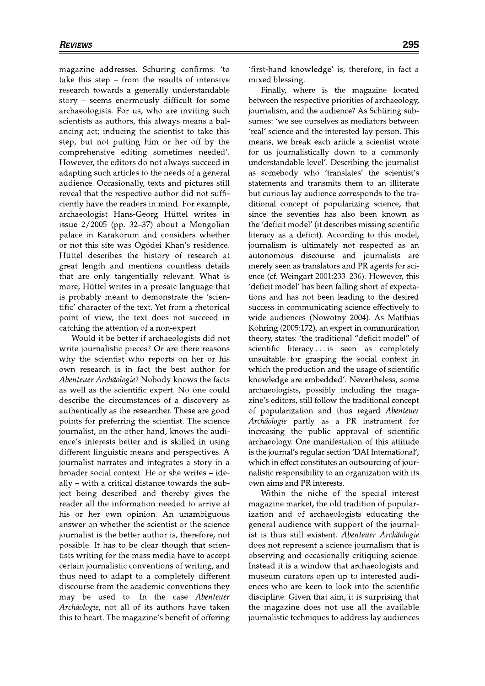magazine addresses. Schüring confirms: 'to take this step  $-$  from the results of intensive research towards a generally understandable story - seems enormously difficult for some archaeologists. For us, who are inviting such scientists as authors, this always means a balancing act; inducing the scientist to take this step, but not putting him or her off by the comprehensive editing sometimes needed'. However, the editors do not always succeed in adapting such articles to the needs of a general audience. Occasionally, texts and pictures still reveal that the respective author did not sufficiently have the readers in mind. For example, archaeologist Hans-Georg Hüttel writes in issue 2/2005 (pp. 32-37) about a Mongolian palace in Karakorum and considers whether or not this site was Ögödei Khan's residence. Hüttel describes the history of research at great length and mentions countless details that are only tangentially relevant. What is more, Hüttel writes in a prosaic language that is probably meant to demonstrate the 'scientific' character of the text. Yet from a rhetorical point of view, the text does not succeed in catching the attention of a non-expert.

Would it be better if archaeologists did not write journalistic pieces? Or are there reasons why the scientist who reports on her or his own research is in fact the best author for Abenteuer Archäologie? Nobody knows the facts as well as the scientific expert. No one could describe the circumstances of a discovery as authentically as the researcher. These are good points for preferring the scientist. The science journalist, on the other hand, knows the audience's interests better and is skilled in using different linguistic means and perspectives. A journalist narrates and integrates a story in a broader social context. He or she writes – ideally – with a critical distance towards the subject being described and thereby gives the reader all the information needed to arrive at his or her own opinion. An unambiguous answer on whether the scientist or the science journalist is the better author is, therefore, not possible. It has to be clear though that scientists writing for the mass media have to accept certain journalistic conventions of writing, and thus need to adapt to a completely different discourse from the academic conventions they may be used to. In the case Abenteuer Archäologie, not all of its authors have taken this to heart. The magazine's benefit of offering

'first-hand knowledge' is, therefore, in fact a mixed blessing.

Finally, where is the magazine located between the respective priorities of archaeology, journalism, and the audience? As Schüring subsumes: 'we see ourselves as mediators between 'real' science and the interested lay person. This means, we break each article a scientist wrote for us journalistically down to a commonly understandable level'. Describing the journalist as somebody who 'translates' the scientist's statements and transmits them to an illiterate but curious lay audience corresponds to the traditional concept of popularizing science, that since the seventies has also been known as the 'deficit model' (it describes missing scientific literacy as a deficit). According to this model, journalism is ultimately not respected as an autonomous discourse and journalists are merely seen as translators and PR agents for science (cf. Weingart 2001:233–236). However, this 'deficit model' has been falling short of expectations and has not been leading to the desired success in communicating science effectively to wide audiences (Nowotny 2004). As Matthias Kohring (2005:172), an expert in communication theory, states: 'the traditional "deficit model" of scientific literacy... is seen as completely unsuitable for grasping the social context in which the production and the usage of scientific knowledge are embedded'. Nevertheless, some archaeologists, possibly including the magazine's editors, still follow the traditional concept of popularization and thus regard Abenteuer Archäologie partly as a PR instrument for increasing the public approval of scientific archaeology. One manifestation of this attitude is the journal's regular section 'DAI International', which in effect constitutes an outsourcing of journalistic responsibility to an organization with its own aims and PR interests.

Within the niche of the special interest magazine market, the old tradition of popularization and of archaeologists educating the general audience with support of the journalist is thus still existent. Abenteuer Archäologie does not represent a science journalism that is observing and occasionally critiquing science. Instead it is a window that archaeologists and museum curators open up to interested audiences who are keen to look into the scientific discipline. Given that aim, it is surprising that the magazine does not use all the available journalistic techniques to address lay audiences